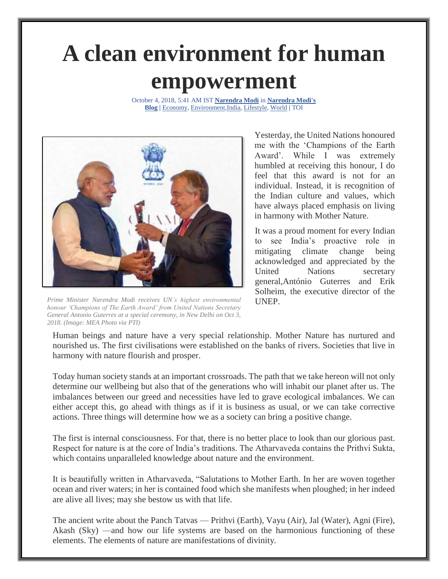## **A clean environment for human empowerment**

October 4, 2018, 5:41 AM IST **[Narendra Modi](https://blogs.timesofindia.indiatimes.com/author/narendramodi/)** in **[Narendra Modi's](https://blogs.timesofindia.indiatimes.com/narendra-modis-blog/)  [Blog](https://blogs.timesofindia.indiatimes.com/narendra-modis-blog/) |** [Economy,](https://blogs.timesofindia.indiatimes.com/business/economy/) [Environment,](https://blogs.timesofindia.indiatimes.com/environment/)[India,](https://blogs.timesofindia.indiatimes.com/india/) [Lifestyle,](https://blogs.timesofindia.indiatimes.com/lifestyle/) [World](https://blogs.timesofindia.indiatimes.com/world/) **|** TOI



*Prime Minister Narendra Modi receives UN's highest environmental honour 'Champions of The Earth Award' from United Nations Secretary General Antonio Guterres at a special ceremony, in New Delhi on Oct 3, 2018. (Image: MEA Photo via PTI)*

Yesterday, the United Nations honoured me with the 'Champions of the Earth Award'. While I was extremely humbled at receiving this honour, I do feel that this award is not for an individual. Instead, it is recognition of the Indian culture and values, which have always placed emphasis on living in harmony with Mother Nature.

It was a proud moment for every Indian to see India's proactive role in mitigating climate change being acknowledged and appreciated by the United Nations secretary general,António Guterres and Erik Solheim, the executive director of the UNEP.

Human beings and nature have a very special relationship. Mother Nature has nurtured and nourished us. The first civilisations were established on the banks of rivers. Societies that live in harmony with nature flourish and prosper.

Today human society stands at an important crossroads. The path that we take hereon will not only determine our wellbeing but also that of the generations who will inhabit our planet after us. The imbalances between our greed and necessities have led to grave ecological imbalances. We can either accept this, go ahead with things as if it is business as usual, or we can take corrective actions. Three things will determine how we as a society can bring a positive change.

The first is internal consciousness. For that, there is no better place to look than our glorious past. Respect for nature is at the core of India's traditions. The Atharvaveda contains the Prithvi Sukta, which contains unparalleled knowledge about nature and the environment.

It is beautifully written in Atharvaveda, "Salutations to Mother Earth. In her are woven together ocean and river waters; in her is contained food which she manifests when ploughed; in her indeed are alive all lives; may she bestow us with that life.

The ancient write about the Panch Tatvas — Prithvi (Earth), Vayu (Air), Jal (Water), Agni (Fire), Akash (Sky) —and how our life systems are based on the harmonious functioning of these elements. The elements of nature are manifestations of divinity.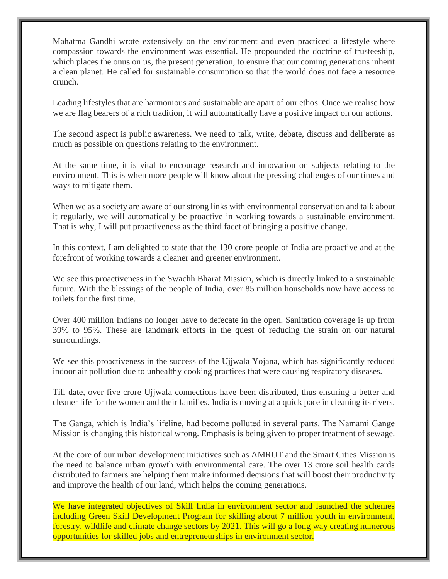Mahatma Gandhi wrote extensively on the environment and even practiced a lifestyle where compassion towards the environment was essential. He propounded the doctrine of trusteeship, which places the onus on us, the present generation, to ensure that our coming generations inherit a clean planet. He called for sustainable consumption so that the world does not face a resource crunch.

Leading lifestyles that are harmonious and sustainable are apart of our ethos. Once we realise how we are flag bearers of a rich tradition, it will automatically have a positive impact on our actions.

The second aspect is public awareness. We need to talk, write, debate, discuss and deliberate as much as possible on questions relating to the environment.

At the same time, it is vital to encourage research and innovation on subjects relating to the environment. This is when more people will know about the pressing challenges of our times and ways to mitigate them.

When we as a society are aware of our strong links with environmental conservation and talk about it regularly, we will automatically be proactive in working towards a sustainable environment. That is why, I will put proactiveness as the third facet of bringing a positive change.

In this context, I am delighted to state that the 130 crore people of India are proactive and at the forefront of working towards a cleaner and greener environment.

We see this proactiveness in the Swachh Bharat Mission, which is directly linked to a sustainable future. With the blessings of the people of India, over 85 million households now have access to toilets for the first time.

Over 400 million Indians no longer have to defecate in the open. Sanitation coverage is up from 39% to 95%. These are landmark efforts in the quest of reducing the strain on our natural surroundings.

We see this proactiveness in the success of the Ujjwala Yojana, which has significantly reduced indoor air pollution due to unhealthy cooking practices that were causing respiratory diseases.

Till date, over five crore Ujjwala connections have been distributed, thus ensuring a better and cleaner life for the women and their families. India is moving at a quick pace in cleaning its rivers.

The Ganga, which is India's lifeline, had become polluted in several parts. The Namami Gange Mission is changing this historical wrong. Emphasis is being given to proper treatment of sewage.

At the core of our urban development initiatives such as AMRUT and the Smart Cities Mission is the need to balance urban growth with environmental care. The over 13 crore soil health cards distributed to farmers are helping them make informed decisions that will boost their productivity and improve the health of our land, which helps the coming generations.

We have integrated objectives of Skill India in environment sector and launched the schemes including Green Skill Development Program for skilling about 7 million youth in environment, forestry, wildlife and climate change sectors by 2021. This will go a long way creating numerous opportunities for skilled jobs and entrepreneurships in environment sector.